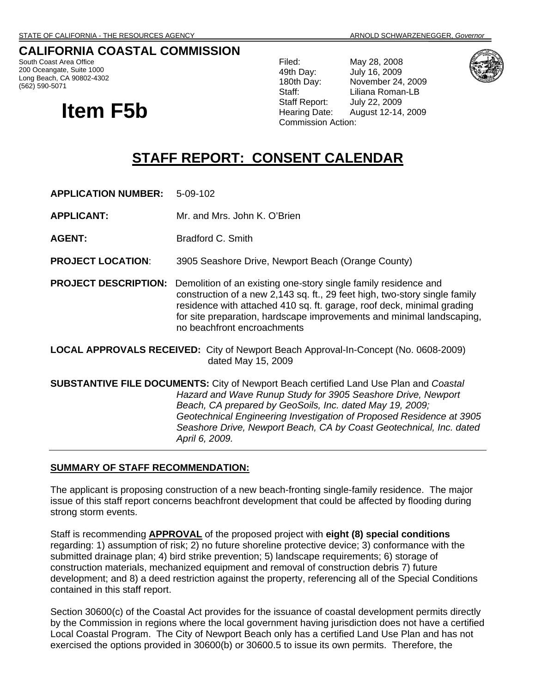# **CALIFORNIA COASTAL COMMISSION**

South Coast Area Office 200 Oceangate, Suite 1000 Long Beach, CA 90802-4302 (562) 590-5071

# **Item F5b**

Filed: May 28, 2008<br>
49th Day: July 16, 2009 July 16, 2009 180th Day: November 24, 2009 Staff: Liliana Roman-LB Staff Report: July 22, 2009 Hearing Date: August 12-14, 2009 Commission Action:



# **STAFF REPORT: CONSENT CALENDAR**

**APPLICATION NUMBER:** 5-09-102

**APPLICANT:** Mr. and Mrs. John K. O'Brien

**AGENT:** Bradford C. Smith

**PROJECT LOCATION**: 3905 Seashore Drive, Newport Beach (Orange County)

**PROJECT DESCRIPTION:** Demolition of an existing one-story single family residence and construction of a new 2,143 sq. ft., 29 feet high, two-story single family residence with attached 410 sq. ft. garage, roof deck, minimal grading for site preparation, hardscape improvements and minimal landscaping, no beachfront encroachments

**LOCAL APPROVALS RECEIVED:** City of Newport Beach Approval-In-Concept (No. 0608-2009) dated May 15, 2009

**SUBSTANTIVE FILE DOCUMENTS:** City of Newport Beach certified Land Use Plan and *Coastal Hazard and Wave Runup Study for 3905 Seashore Drive, Newport Beach, CA prepared by GeoSoils, Inc. dated May 19, 2009; Geotechnical Engineering Investigation of Proposed Residence at 3905 Seashore Drive, Newport Beach, CA by Coast Geotechnical, Inc. dated April 6, 2009.* 

#### **SUMMARY OF STAFF RECOMMENDATION:**

The applicant is proposing construction of a new beach-fronting single-family residence. The major issue of this staff report concerns beachfront development that could be affected by flooding during strong storm events.

Staff is recommending **APPROVAL** of the proposed project with **eight (8) special conditions** regarding: 1) assumption of risk; 2) no future shoreline protective device; 3) conformance with the submitted drainage plan; 4) bird strike prevention; 5) landscape requirements; 6) storage of construction materials, mechanized equipment and removal of construction debris 7) future development; and 8) a deed restriction against the property, referencing all of the Special Conditions contained in this staff report.

Section 30600(c) of the Coastal Act provides for the issuance of coastal development permits directly by the Commission in regions where the local government having jurisdiction does not have a certified Local Coastal Program. The City of Newport Beach only has a certified Land Use Plan and has not exercised the options provided in 30600(b) or 30600.5 to issue its own permits. Therefore, the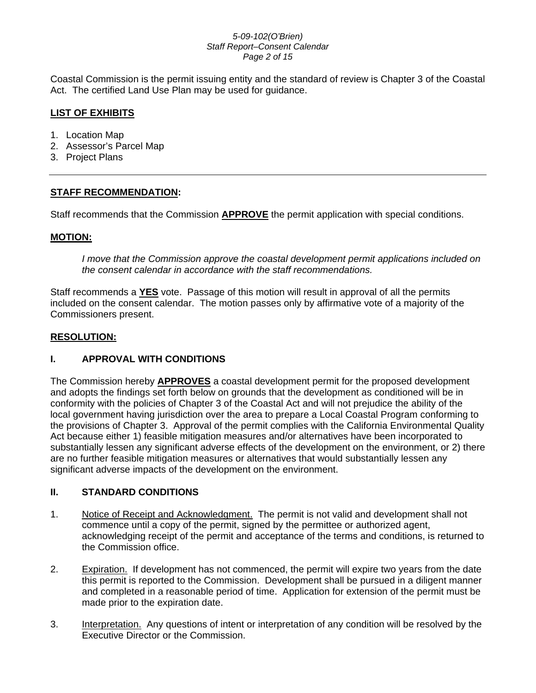#### *5-09-102(O'Brien) Staff Report–Consent Calendar Page 2 of 15*

Coastal Commission is the permit issuing entity and the standard of review is Chapter 3 of the Coastal Act. The certified Land Use Plan may be used for guidance.

# **LIST OF EXHIBITS**

- 1. Location Map
- 2. Assessor's Parcel Map
- 3. Project Plans

# **STAFF RECOMMENDATION:**

Staff recommends that the Commission **APPROVE** the permit application with special conditions.

# **MOTION:**

*I move that the Commission approve the coastal development permit applications included on the consent calendar in accordance with the staff recommendations.*

Staff recommends a **YES** vote. Passage of this motion will result in approval of all the permits included on the consent calendar. The motion passes only by affirmative vote of a majority of the Commissioners present.

#### **RESOLUTION:**

# **I. APPROVAL WITH CONDITIONS**

The Commission hereby **APPROVES** a coastal development permit for the proposed development and adopts the findings set forth below on grounds that the development as conditioned will be in conformity with the policies of Chapter 3 of the Coastal Act and will not prejudice the ability of the local government having jurisdiction over the area to prepare a Local Coastal Program conforming to the provisions of Chapter 3. Approval of the permit complies with the California Environmental Quality Act because either 1) feasible mitigation measures and/or alternatives have been incorporated to substantially lessen any significant adverse effects of the development on the environment, or 2) there are no further feasible mitigation measures or alternatives that would substantially lessen any significant adverse impacts of the development on the environment.

# **II. STANDARD CONDITIONS**

- 1. Notice of Receipt and Acknowledgment. The permit is not valid and development shall not commence until a copy of the permit, signed by the permittee or authorized agent, acknowledging receipt of the permit and acceptance of the terms and conditions, is returned to the Commission office.
- 2. Expiration. If development has not commenced, the permit will expire two years from the date this permit is reported to the Commission. Development shall be pursued in a diligent manner and completed in a reasonable period of time. Application for extension of the permit must be made prior to the expiration date.
- 3. Interpretation. Any questions of intent or interpretation of any condition will be resolved by the Executive Director or the Commission.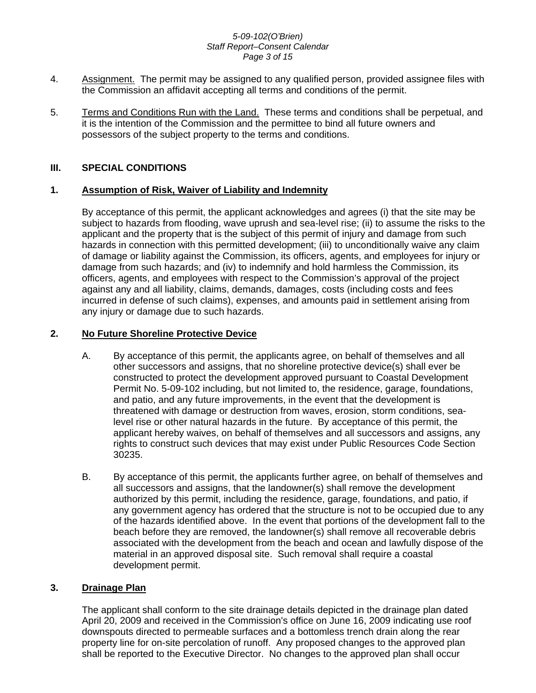#### *5-09-102(O'Brien) Staff Report–Consent Calendar Page 3 of 15*

- 4. Assignment. The permit may be assigned to any qualified person, provided assignee files with the Commission an affidavit accepting all terms and conditions of the permit.
- 5. Terms and Conditions Run with the Land. These terms and conditions shall be perpetual, and it is the intention of the Commission and the permittee to bind all future owners and possessors of the subject property to the terms and conditions.

# **III. SPECIAL CONDITIONS**

# **1. Assumption of Risk, Waiver of Liability and Indemnity**

By acceptance of this permit, the applicant acknowledges and agrees (i) that the site may be subject to hazards from flooding, wave uprush and sea-level rise; (ii) to assume the risks to the applicant and the property that is the subject of this permit of injury and damage from such hazards in connection with this permitted development; (iii) to unconditionally waive any claim of damage or liability against the Commission, its officers, agents, and employees for injury or damage from such hazards; and (iv) to indemnify and hold harmless the Commission, its officers, agents, and employees with respect to the Commission's approval of the project against any and all liability, claims, demands, damages, costs (including costs and fees incurred in defense of such claims), expenses, and amounts paid in settlement arising from any injury or damage due to such hazards.

# **2. No Future Shoreline Protective Device**

- A. By acceptance of this permit, the applicants agree, on behalf of themselves and all other successors and assigns, that no shoreline protective device(s) shall ever be constructed to protect the development approved pursuant to Coastal Development Permit No. 5-09-102 including, but not limited to, the residence, garage, foundations, and patio, and any future improvements, in the event that the development is threatened with damage or destruction from waves, erosion, storm conditions, sealevel rise or other natural hazards in the future. By acceptance of this permit, the applicant hereby waives, on behalf of themselves and all successors and assigns, any rights to construct such devices that may exist under Public Resources Code Section 30235.
- B. By acceptance of this permit, the applicants further agree, on behalf of themselves and all successors and assigns, that the landowner(s) shall remove the development authorized by this permit, including the residence, garage, foundations, and patio, if any government agency has ordered that the structure is not to be occupied due to any of the hazards identified above. In the event that portions of the development fall to the beach before they are removed, the landowner(s) shall remove all recoverable debris associated with the development from the beach and ocean and lawfully dispose of the material in an approved disposal site. Such removal shall require a coastal development permit.

# **3. Drainage Plan**

The applicant shall conform to the site drainage details depicted in the drainage plan dated April 20, 2009 and received in the Commission's office on June 16, 2009 indicating use roof downspouts directed to permeable surfaces and a bottomless trench drain along the rear property line for on-site percolation of runoff. Any proposed changes to the approved plan shall be reported to the Executive Director. No changes to the approved plan shall occur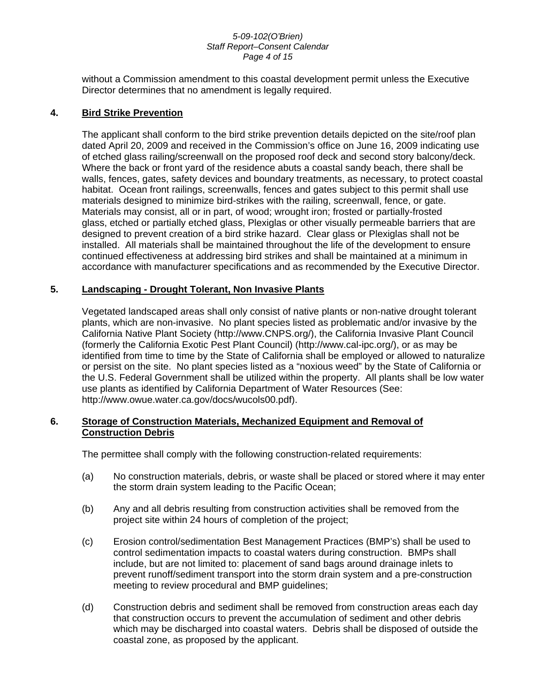#### *5-09-102(O'Brien) Staff Report–Consent Calendar Page 4 of 15*

without a Commission amendment to this coastal development permit unless the Executive Director determines that no amendment is legally required.

#### **4. Bird Strike Prevention**

The applicant shall conform to the bird strike prevention details depicted on the site/roof plan dated April 20, 2009 and received in the Commission's office on June 16, 2009 indicating use of etched glass railing/screenwall on the proposed roof deck and second story balcony/deck. Where the back or front yard of the residence abuts a coastal sandy beach, there shall be walls, fences, gates, safety devices and boundary treatments, as necessary, to protect coastal habitat. Ocean front railings, screenwalls, fences and gates subject to this permit shall use materials designed to minimize bird-strikes with the railing, screenwall, fence, or gate. Materials may consist, all or in part, of wood; wrought iron; frosted or partially-frosted glass, etched or partially etched glass, Plexiglas or other visually permeable barriers that are designed to prevent creation of a bird strike hazard. Clear glass or Plexiglas shall not be installed. All materials shall be maintained throughout the life of the development to ensure continued effectiveness at addressing bird strikes and shall be maintained at a minimum in accordance with manufacturer specifications and as recommended by the Executive Director.

#### **5. Landscaping - Drought Tolerant, Non Invasive Plants**

Vegetated landscaped areas shall only consist of native plants or non-native drought tolerant plants, which are non-invasive. No plant species listed as problematic and/or invasive by the California Native Plant Society (http://www.CNPS.org/), the California Invasive Plant Council (formerly the California Exotic Pest Plant Council) (http://www.cal-ipc.org/), or as may be identified from time to time by the State of California shall be employed or allowed to naturalize or persist on the site. No plant species listed as a "noxious weed" by the State of California or the U.S. Federal Government shall be utilized within the property. All plants shall be low water use plants as identified by California Department of Water Resources (See: http://www.owue.water.ca.gov/docs/wucols00.pdf).

#### **6. Storage of Construction Materials, Mechanized Equipment and Removal of Construction Debris**

The permittee shall comply with the following construction-related requirements:

- (a) No construction materials, debris, or waste shall be placed or stored where it may enter the storm drain system leading to the Pacific Ocean;
- (b) Any and all debris resulting from construction activities shall be removed from the project site within 24 hours of completion of the project;
- (c) Erosion control/sedimentation Best Management Practices (BMP's) shall be used to control sedimentation impacts to coastal waters during construction. BMPs shall include, but are not limited to: placement of sand bags around drainage inlets to prevent runoff/sediment transport into the storm drain system and a pre-construction meeting to review procedural and BMP guidelines;
- (d) Construction debris and sediment shall be removed from construction areas each day that construction occurs to prevent the accumulation of sediment and other debris which may be discharged into coastal waters. Debris shall be disposed of outside the coastal zone, as proposed by the applicant.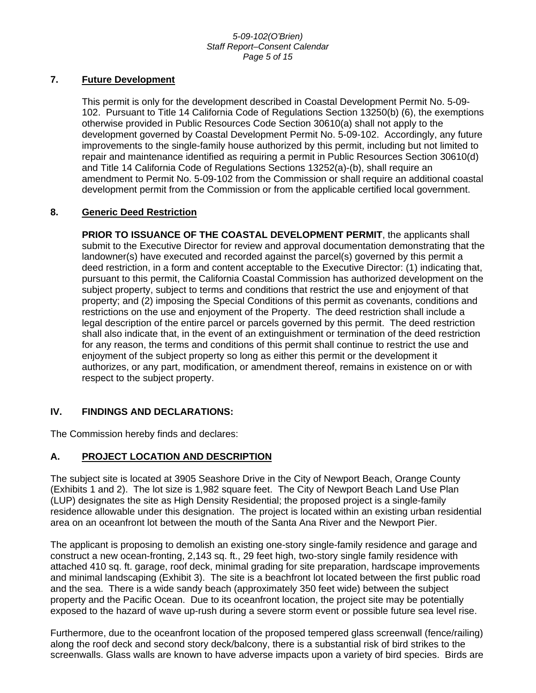#### *5-09-102(O'Brien) Staff Report–Consent Calendar Page 5 of 15*

# **7. Future Development**

This permit is only for the development described in Coastal Development Permit No. 5-09- 102. Pursuant to Title 14 California Code of Regulations Section 13250(b) (6), the exemptions otherwise provided in Public Resources Code Section 30610(a) shall not apply to the development governed by Coastal Development Permit No. 5-09-102. Accordingly, any future improvements to the single-family house authorized by this permit, including but not limited to repair and maintenance identified as requiring a permit in Public Resources Section 30610(d) and Title 14 California Code of Regulations Sections 13252(a)-(b), shall require an amendment to Permit No. 5-09-102 from the Commission or shall require an additional coastal development permit from the Commission or from the applicable certified local government.

#### **8. Generic Deed Restriction**

**PRIOR TO ISSUANCE OF THE COASTAL DEVELOPMENT PERMIT**, the applicants shall submit to the Executive Director for review and approval documentation demonstrating that the landowner(s) have executed and recorded against the parcel(s) governed by this permit a deed restriction, in a form and content acceptable to the Executive Director: (1) indicating that, pursuant to this permit, the California Coastal Commission has authorized development on the subject property, subject to terms and conditions that restrict the use and enjoyment of that property; and (2) imposing the Special Conditions of this permit as covenants, conditions and restrictions on the use and enjoyment of the Property. The deed restriction shall include a legal description of the entire parcel or parcels governed by this permit. The deed restriction shall also indicate that, in the event of an extinguishment or termination of the deed restriction for any reason, the terms and conditions of this permit shall continue to restrict the use and enjoyment of the subject property so long as either this permit or the development it authorizes, or any part, modification, or amendment thereof, remains in existence on or with respect to the subject property.

# **IV. FINDINGS AND DECLARATIONS:**

The Commission hereby finds and declares:

# **A. PROJECT LOCATION AND DESCRIPTION**

The subject site is located at 3905 Seashore Drive in the City of Newport Beach, Orange County (Exhibits 1 and 2). The lot size is 1,982 square feet. The City of Newport Beach Land Use Plan (LUP) designates the site as High Density Residential; the proposed project is a single-family residence allowable under this designation. The project is located within an existing urban residential area on an oceanfront lot between the mouth of the Santa Ana River and the Newport Pier.

The applicant is proposing to demolish an existing one-story single-family residence and garage and construct a new ocean-fronting, 2,143 sq. ft., 29 feet high, two-story single family residence with attached 410 sq. ft. garage, roof deck, minimal grading for site preparation, hardscape improvements and minimal landscaping (Exhibit 3). The site is a beachfront lot located between the first public road and the sea. There is a wide sandy beach (approximately 350 feet wide) between the subject property and the Pacific Ocean. Due to its oceanfront location, the project site may be potentially exposed to the hazard of wave up-rush during a severe storm event or possible future sea level rise.

Furthermore, due to the oceanfront location of the proposed tempered glass screenwall (fence/railing) along the roof deck and second story deck/balcony, there is a substantial risk of bird strikes to the screenwalls. Glass walls are known to have adverse impacts upon a variety of bird species. Birds are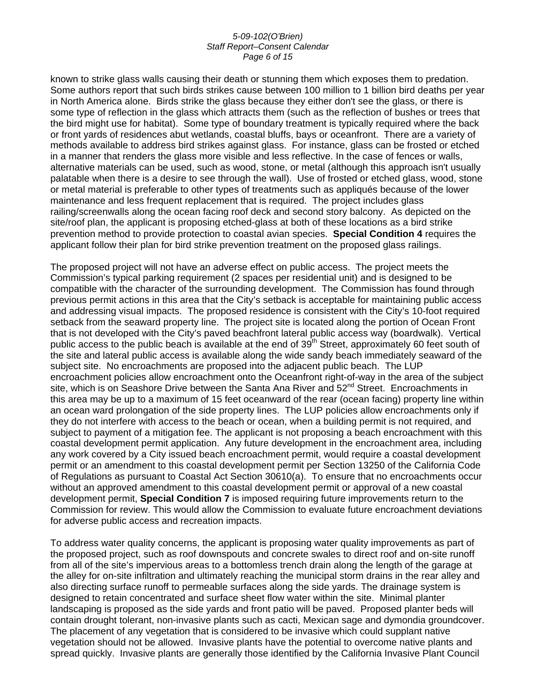#### *5-09-102(O'Brien) Staff Report–Consent Calendar Page 6 of 15*

known to strike glass walls causing their death or stunning them which exposes them to predation. Some authors report that such birds strikes cause between 100 million to 1 billion bird deaths per year in North America alone. Birds strike the glass because they either don't see the glass, or there is some type of reflection in the glass which attracts them (such as the reflection of bushes or trees that the bird might use for habitat). Some type of boundary treatment is typically required where the back or front yards of residences abut wetlands, coastal bluffs, bays or oceanfront. There are a variety of methods available to address bird strikes against glass. For instance, glass can be frosted or etched in a manner that renders the glass more visible and less reflective. In the case of fences or walls, alternative materials can be used, such as wood, stone, or metal (although this approach isn't usually palatable when there is a desire to see through the wall). Use of frosted or etched glass, wood, stone or metal material is preferable to other types of treatments such as appliqués because of the lower maintenance and less frequent replacement that is required. The project includes glass railing/screenwalls along the ocean facing roof deck and second story balcony. As depicted on the site/roof plan, the applicant is proposing etched-glass at both of these locations as a bird strike prevention method to provide protection to coastal avian species. **Special Condition 4** requires the applicant follow their plan for bird strike prevention treatment on the proposed glass railings.

The proposed project will not have an adverse effect on public access. The project meets the Commission's typical parking requirement (2 spaces per residential unit) and is designed to be compatible with the character of the surrounding development. The Commission has found through previous permit actions in this area that the City's setback is acceptable for maintaining public access and addressing visual impacts. The proposed residence is consistent with the City's 10-foot required setback from the seaward property line. The project site is located along the portion of Ocean Front that is not developed with the City's paved beachfront lateral public access way (boardwalk). Vertical public access to the public beach is available at the end of 39<sup>th</sup> Street, approximately 60 feet south of the site and lateral public access is available along the wide sandy beach immediately seaward of the subject site. No encroachments are proposed into the adjacent public beach. The LUP encroachment policies allow encroachment onto the Oceanfront right-of-way in the area of the subject site, which is on Seashore Drive between the Santa Ana River and 52<sup>nd</sup> Street. Encroachments in this area may be up to a maximum of 15 feet oceanward of the rear (ocean facing) property line within an ocean ward prolongation of the side property lines. The LUP policies allow encroachments only if they do not interfere with access to the beach or ocean, when a building permit is not required, and subject to payment of a mitigation fee. The applicant is not proposing a beach encroachment with this coastal development permit application. Any future development in the encroachment area, including any work covered by a City issued beach encroachment permit, would require a coastal development permit or an amendment to this coastal development permit per Section 13250 of the California Code of Regulations as pursuant to Coastal Act Section 30610(a). To ensure that no encroachments occur without an approved amendment to this coastal development permit or approval of a new coastal development permit, **Special Condition 7** is imposed requiring future improvements return to the Commission for review. This would allow the Commission to evaluate future encroachment deviations for adverse public access and recreation impacts.

To address water quality concerns, the applicant is proposing water quality improvements as part of the proposed project, such as roof downspouts and concrete swales to direct roof and on-site runoff from all of the site's impervious areas to a bottomless trench drain along the length of the garage at the alley for on-site infiltration and ultimately reaching the municipal storm drains in the rear alley and also directing surface runoff to permeable surfaces along the side yards. The drainage system is designed to retain concentrated and surface sheet flow water within the site. Minimal planter landscaping is proposed as the side yards and front patio will be paved. Proposed planter beds will contain drought tolerant, non-invasive plants such as cacti, Mexican sage and dymondia groundcover. The placement of any vegetation that is considered to be invasive which could supplant native vegetation should not be allowed. Invasive plants have the potential to overcome native plants and spread quickly. Invasive plants are generally those identified by the California Invasive Plant Council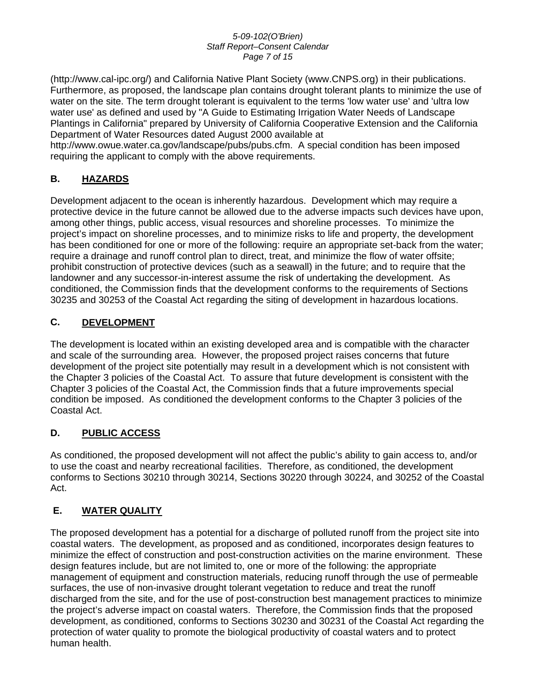#### *5-09-102(O'Brien) Staff Report–Consent Calendar Page 7 of 15*

(http://www.cal-ipc.org/) and California Native Plant Society (www.CNPS.org) in their publications. Furthermore, as proposed, the landscape plan contains drought tolerant plants to minimize the use of water on the site. The term drought tolerant is equivalent to the terms 'low water use' and 'ultra low water use' as defined and used by "A Guide to Estimating Irrigation Water Needs of Landscape Plantings in California" prepared by University of California Cooperative Extension and the California Department of Water Resources dated August 2000 available at

http://www.owue.water.ca.gov/landscape/pubs/pubs.cfm. A special condition has been imposed requiring the applicant to comply with the above requirements.

# **B. HAZARDS**

Development adjacent to the ocean is inherently hazardous. Development which may require a protective device in the future cannot be allowed due to the adverse impacts such devices have upon, among other things, public access, visual resources and shoreline processes. To minimize the project's impact on shoreline processes, and to minimize risks to life and property, the development has been conditioned for one or more of the following: require an appropriate set-back from the water; require a drainage and runoff control plan to direct, treat, and minimize the flow of water offsite; prohibit construction of protective devices (such as a seawall) in the future; and to require that the landowner and any successor-in-interest assume the risk of undertaking the development. As conditioned, the Commission finds that the development conforms to the requirements of Sections 30235 and 30253 of the Coastal Act regarding the siting of development in hazardous locations.

# **C. DEVELOPMENT**

The development is located within an existing developed area and is compatible with the character and scale of the surrounding area. However, the proposed project raises concerns that future development of the project site potentially may result in a development which is not consistent with the Chapter 3 policies of the Coastal Act. To assure that future development is consistent with the Chapter 3 policies of the Coastal Act, the Commission finds that a future improvements special condition be imposed. As conditioned the development conforms to the Chapter 3 policies of the Coastal Act.

# **D. PUBLIC ACCESS**

As conditioned, the proposed development will not affect the public's ability to gain access to, and/or to use the coast and nearby recreational facilities. Therefore, as conditioned, the development conforms to Sections 30210 through 30214, Sections 30220 through 30224, and 30252 of the Coastal Act.

# **E. WATER QUALITY**

The proposed development has a potential for a discharge of polluted runoff from the project site into coastal waters. The development, as proposed and as conditioned, incorporates design features to minimize the effect of construction and post-construction activities on the marine environment. These design features include, but are not limited to, one or more of the following: the appropriate management of equipment and construction materials, reducing runoff through the use of permeable surfaces, the use of non-invasive drought tolerant vegetation to reduce and treat the runoff discharged from the site, and for the use of post-construction best management practices to minimize the project's adverse impact on coastal waters. Therefore, the Commission finds that the proposed development, as conditioned, conforms to Sections 30230 and 30231 of the Coastal Act regarding the protection of water quality to promote the biological productivity of coastal waters and to protect human health.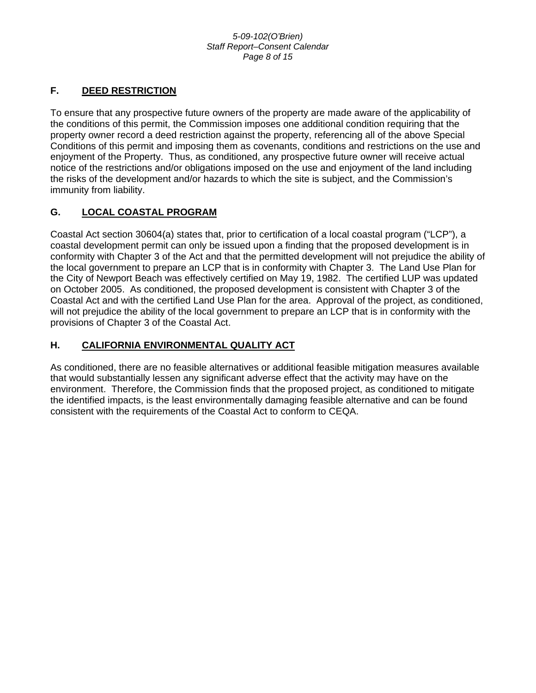#### *5-09-102(O'Brien) Staff Report–Consent Calendar Page 8 of 15*

# **F. DEED RESTRICTION**

To ensure that any prospective future owners of the property are made aware of the applicability of the conditions of this permit, the Commission imposes one additional condition requiring that the property owner record a deed restriction against the property, referencing all of the above Special Conditions of this permit and imposing them as covenants, conditions and restrictions on the use and enjoyment of the Property. Thus, as conditioned, any prospective future owner will receive actual notice of the restrictions and/or obligations imposed on the use and enjoyment of the land including the risks of the development and/or hazards to which the site is subject, and the Commission's immunity from liability.

# **G. LOCAL COASTAL PROGRAM**

Coastal Act section 30604(a) states that, prior to certification of a local coastal program ("LCP"), a coastal development permit can only be issued upon a finding that the proposed development is in conformity with Chapter 3 of the Act and that the permitted development will not prejudice the ability of the local government to prepare an LCP that is in conformity with Chapter 3. The Land Use Plan for the City of Newport Beach was effectively certified on May 19, 1982. The certified LUP was updated on October 2005. As conditioned, the proposed development is consistent with Chapter 3 of the Coastal Act and with the certified Land Use Plan for the area. Approval of the project, as conditioned, will not prejudice the ability of the local government to prepare an LCP that is in conformity with the provisions of Chapter 3 of the Coastal Act.

# **H. CALIFORNIA ENVIRONMENTAL QUALITY ACT**

As conditioned, there are no feasible alternatives or additional feasible mitigation measures available that would substantially lessen any significant adverse effect that the activity may have on the environment. Therefore, the Commission finds that the proposed project, as conditioned to mitigate the identified impacts, is the least environmentally damaging feasible alternative and can be found consistent with the requirements of the Coastal Act to conform to CEQA.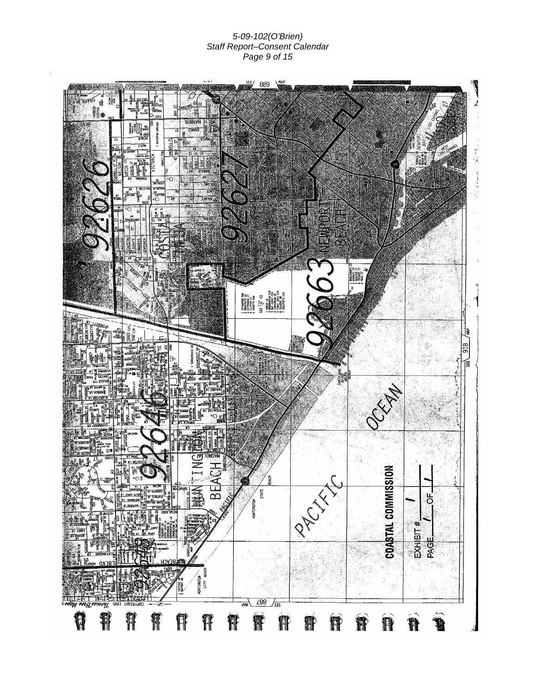*5-09-102(O'Brien) Staff Report–Consent Calendar Page 9 of 15*

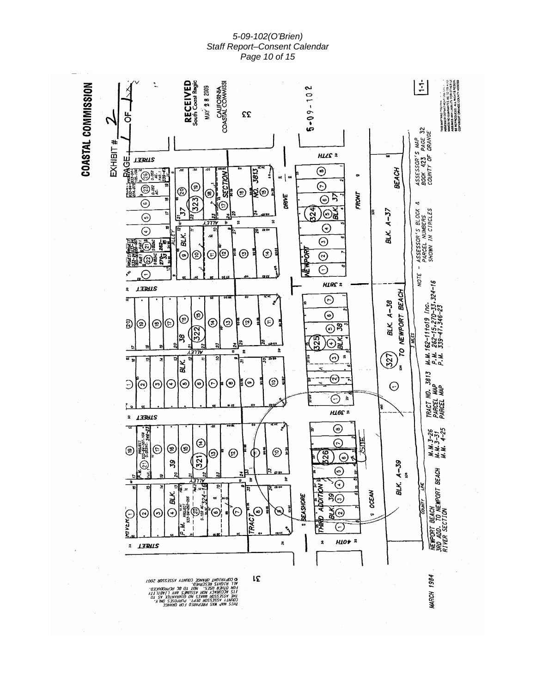*5-09-102(O'Brien) Staff Report–Consent Calendar Page 10 of 15*

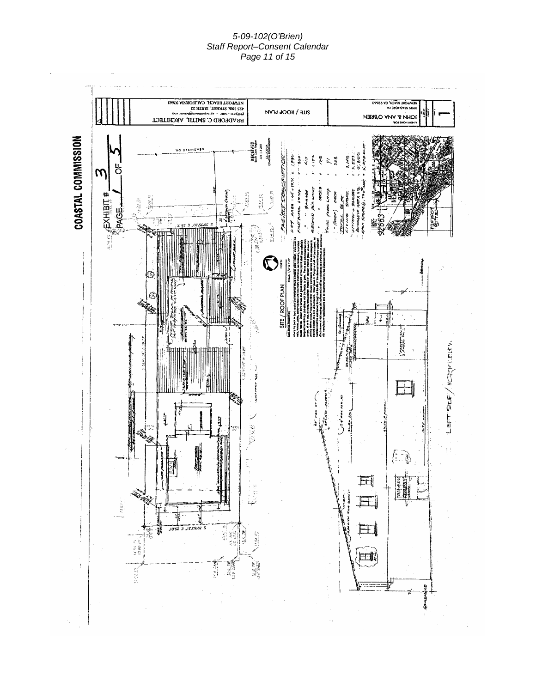#### *5-09-102(O'Brien) Staff Report–Consent Calendar Page 11 of 15*

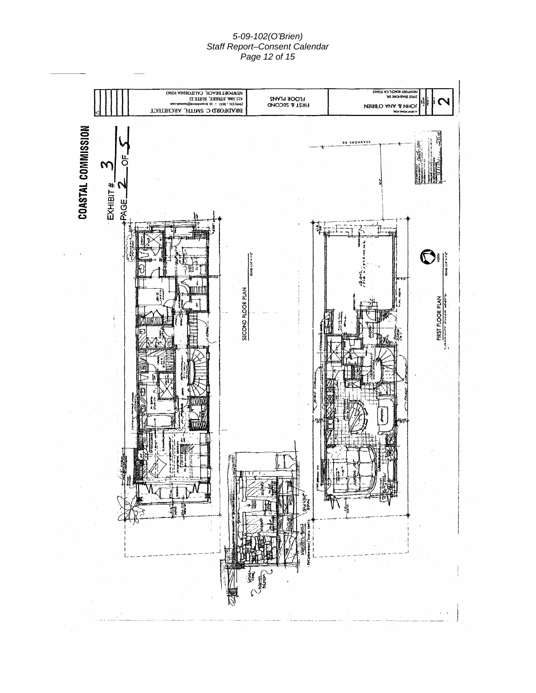#### *5-09-102(O'Brien) Staff Report–Consent Calendar Page 12 of 15*

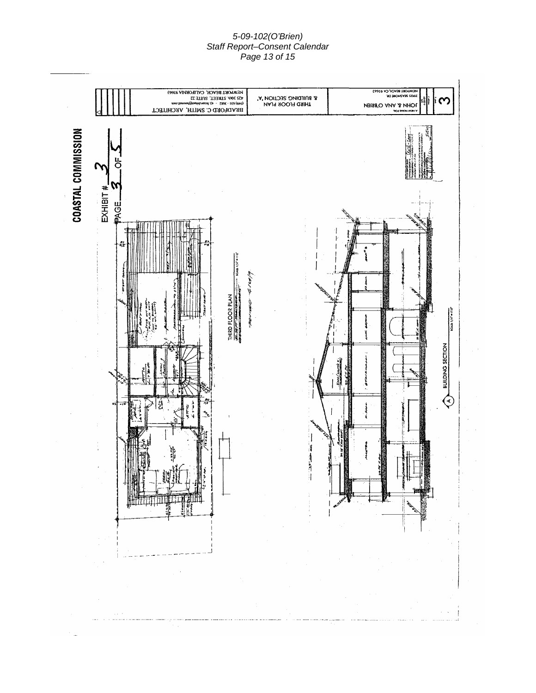#### *5-09-102(O'Brien) Staff Report–Consent Calendar Page 13 of 15*

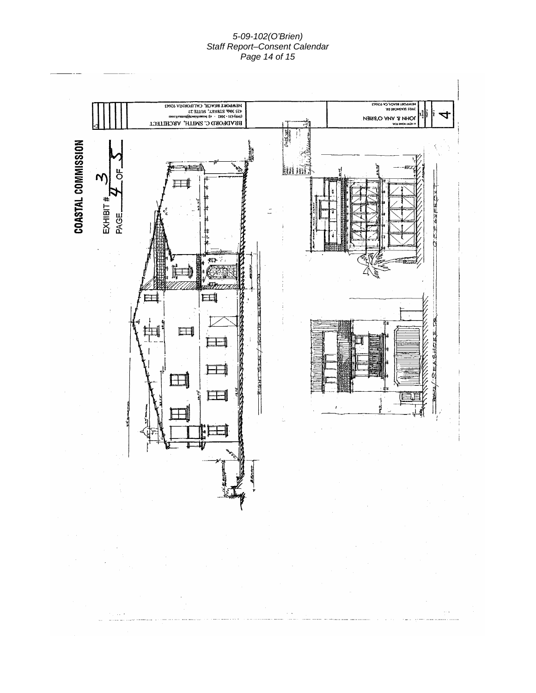#### *5-09-102(O'Brien) Staff Report–Consent Calendar Page 14 of 15*